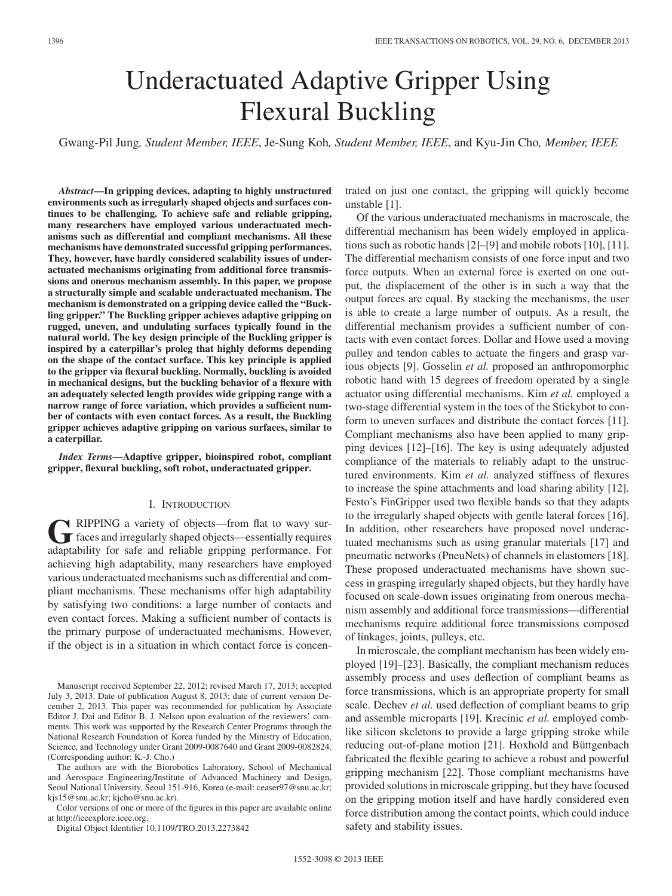# Underactuated Adaptive Gripper Using Flexural Buckling

Gwang-Pil Jung*, Student Member, IEEE*, Je-Sung Koh*, Student Member, IEEE*, and Kyu-Jin Cho*, Member, IEEE*

*Abstract***—In gripping devices, adapting to highly unstructured environments such as irregularly shaped objects and surfaces continues to be challenging. To achieve safe and reliable gripping, many researchers have employed various underactuated mechanisms such as differential and compliant mechanisms. All these mechanisms have demonstrated successful gripping performances. They, however, have hardly considered scalability issues of underactuated mechanisms originating from additional force transmissions and onerous mechanism assembly. In this paper, we propose a structurally simple and scalable underactuated mechanism. The mechanism is demonstrated on a gripping device called the "Buckling gripper." The Buckling gripper achieves adaptive gripping on rugged, uneven, and undulating surfaces typically found in the natural world. The key design principle of the Buckling gripper is inspired by a caterpillar's proleg that highly deforms depending on the shape of the contact surface. This key principle is applied to the gripper via flexural buckling. Normally, buckling is avoided in mechanical designs, but the buckling behavior of a flexure with an adequately selected length provides wide gripping range with a narrow range of force variation, which provides a sufficient number of contacts with even contact forces. As a result, the Buckling gripper achieves adaptive gripping on various surfaces, similar to a caterpillar.**

*Index Terms***—Adaptive gripper, bioinspired robot, compliant gripper, flexural buckling, soft robot, underactuated gripper.**

## I. INTRODUCTION

**KIPPING** a variety of objects—from flat to wavy surfaces and irregularly shaped objects—essentially requires adaptability for safe and reliable gripping performance. For achieving high adaptability, many researchers have employed various underactuated mechanisms such as differential and compliant mechanisms. These mechanisms offer high adaptability by satisfying two conditions: a large number of contacts and even contact forces. Making a sufficient number of contacts is the primary purpose of underactuated mechanisms. However, if the object is in a situation in which contact force is concen-

The authors are with the Biorobotics Laboratory, School of Mechanical and Aerospace Engineering/Institute of Advanced Machinery and Design, Seoul National University, Seoul 151-916, Korea (e-mail: ceaser97@snu.ac.kr; kjs15@snu.ac.kr; kjcho@snu.ac.kr).

Color versions of one or more of the figures in this paper are available online at http://ieeexplore.ieee.org.

Digital Object Identifier 10.1109/TRO.2013.2273842

trated on just one contact, the gripping will quickly become unstable [1].

Of the various underactuated mechanisms in macroscale, the differential mechanism has been widely employed in applications such as robotic hands [2]–[9] and mobile robots [10], [11]. The differential mechanism consists of one force input and two force outputs. When an external force is exerted on one output, the displacement of the other is in such a way that the output forces are equal. By stacking the mechanisms, the user is able to create a large number of outputs. As a result, the differential mechanism provides a sufficient number of contacts with even contact forces. Dollar and Howe used a moving pulley and tendon cables to actuate the fingers and grasp various objects [9]. Gosselin *et al.* proposed an anthropomorphic robotic hand with 15 degrees of freedom operated by a single actuator using differential mechanisms. Kim *et al.* employed a two-stage differential system in the toes of the Stickybot to conform to uneven surfaces and distribute the contact forces [11]. Compliant mechanisms also have been applied to many gripping devices [12]–[16]. The key is using adequately adjusted compliance of the materials to reliably adapt to the unstructured environments. Kim *et al.* analyzed stiffness of flexures to increase the spine attachments and load sharing ability [12]. Festo's FinGripper used two flexible bands so that they adapts to the irregularly shaped objects with gentle lateral forces [16]. In addition, other researchers have proposed novel underactuated mechanisms such as using granular materials [17] and pneumatic networks (PneuNets) of channels in elastomers [18]. These proposed underactuated mechanisms have shown success in grasping irregularly shaped objects, but they hardly have focused on scale-down issues originating from onerous mechanism assembly and additional force transmissions—differential mechanisms require additional force transmissions composed of linkages, joints, pulleys, etc.

In microscale, the compliant mechanism has been widely employed [19]–[23]. Basically, the compliant mechanism reduces assembly process and uses deflection of compliant beams as force transmissions, which is an appropriate property for small scale. Dechev *et al.* used deflection of compliant beams to grip and assemble microparts [19]. Krecinic *et al.* employed comblike silicon skeletons to provide a large gripping stroke while reducing out-of-plane motion [21]. Hoxhold and Büttgenbach fabricated the flexible gearing to achieve a robust and powerful gripping mechanism [22]. Those compliant mechanisms have provided solutions in microscale gripping, but they have focused on the gripping motion itself and have hardly considered even force distribution among the contact points, which could induce safety and stability issues.

Manuscript received September 22, 2012; revised March 17, 2013; accepted July 3, 2013. Date of publication August 8, 2013; date of current version December 2, 2013. This paper was recommended for publication by Associate Editor J. Dai and Editor B. J. Nelson upon evaluation of the reviewers' comments. This work was supported by the Research Center Programs through the National Research Foundation of Korea funded by the Ministry of Education, Science, and Technology under Grant 2009-0087640 and Grant 2009-0082824. (Corresponding author: K.-J. Cho.)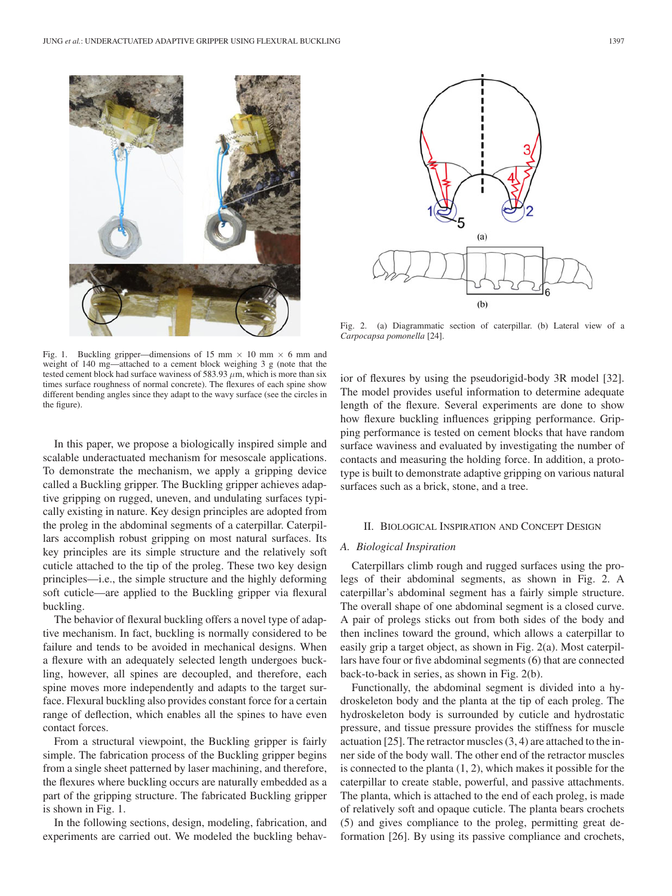

Fig. 1. Buckling gripper—dimensions of 15 mm  $\times$  10 mm  $\times$  6 mm and weight of 140 mg—attached to a cement block weighing 3 g (note that the tested cement block had surface waviness of 583.93  $\mu$ m, which is more than six times surface roughness of normal concrete). The flexures of each spine show different bending angles since they adapt to the wavy surface (see the circles in the figure).

In this paper, we propose a biologically inspired simple and scalable underactuated mechanism for mesoscale applications. To demonstrate the mechanism, we apply a gripping device called a Buckling gripper. The Buckling gripper achieves adaptive gripping on rugged, uneven, and undulating surfaces typically existing in nature. Key design principles are adopted from the proleg in the abdominal segments of a caterpillar. Caterpillars accomplish robust gripping on most natural surfaces. Its key principles are its simple structure and the relatively soft cuticle attached to the tip of the proleg. These two key design principles—i.e., the simple structure and the highly deforming soft cuticle—are applied to the Buckling gripper via flexural buckling.

The behavior of flexural buckling offers a novel type of adaptive mechanism. In fact, buckling is normally considered to be failure and tends to be avoided in mechanical designs. When a flexure with an adequately selected length undergoes buckling, however, all spines are decoupled, and therefore, each spine moves more independently and adapts to the target surface. Flexural buckling also provides constant force for a certain range of deflection, which enables all the spines to have even contact forces.

From a structural viewpoint, the Buckling gripper is fairly simple. The fabrication process of the Buckling gripper begins from a single sheet patterned by laser machining, and therefore, the flexures where buckling occurs are naturally embedded as a part of the gripping structure. The fabricated Buckling gripper is shown in Fig. 1.

In the following sections, design, modeling, fabrication, and experiments are carried out. We modeled the buckling behav-



Fig. 2. (a) Diagrammatic section of caterpillar. (b) Lateral view of a *Carpocapsa pomonella* [24].

ior of flexures by using the pseudorigid-body 3R model [32]. The model provides useful information to determine adequate length of the flexure. Several experiments are done to show how flexure buckling influences gripping performance. Gripping performance is tested on cement blocks that have random surface waviness and evaluated by investigating the number of contacts and measuring the holding force. In addition, a prototype is built to demonstrate adaptive gripping on various natural surfaces such as a brick, stone, and a tree.

#### II. BIOLOGICAL INSPIRATION AND CONCEPT DESIGN

## *A. Biological Inspiration*

Caterpillars climb rough and rugged surfaces using the prolegs of their abdominal segments, as shown in Fig. 2. A caterpillar's abdominal segment has a fairly simple structure. The overall shape of one abdominal segment is a closed curve. A pair of prolegs sticks out from both sides of the body and then inclines toward the ground, which allows a caterpillar to easily grip a target object, as shown in Fig. 2(a). Most caterpillars have four or five abdominal segments (6) that are connected back-to-back in series, as shown in Fig. 2(b).

Functionally, the abdominal segment is divided into a hydroskeleton body and the planta at the tip of each proleg. The hydroskeleton body is surrounded by cuticle and hydrostatic pressure, and tissue pressure provides the stiffness for muscle actuation [25]. The retractor muscles (3, 4) are attached to the inner side of the body wall. The other end of the retractor muscles is connected to the planta (1, 2), which makes it possible for the caterpillar to create stable, powerful, and passive attachments. The planta, which is attached to the end of each proleg, is made of relatively soft and opaque cuticle. The planta bears crochets (5) and gives compliance to the proleg, permitting great deformation [26]. By using its passive compliance and crochets,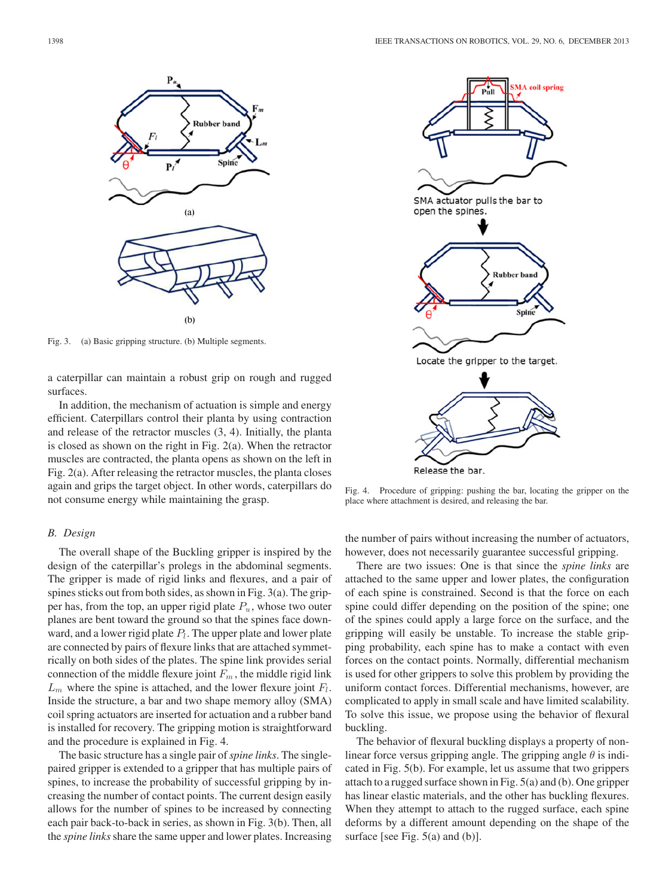

Fig. 3. (a) Basic gripping structure. (b) Multiple segments.

a caterpillar can maintain a robust grip on rough and rugged surfaces.

In addition, the mechanism of actuation is simple and energy efficient. Caterpillars control their planta by using contraction and release of the retractor muscles (3, 4). Initially, the planta is closed as shown on the right in Fig. 2(a). When the retractor muscles are contracted, the planta opens as shown on the left in Fig. 2(a). After releasing the retractor muscles, the planta closes again and grips the target object. In other words, caterpillars do not consume energy while maintaining the grasp.

#### *B. Design*

The overall shape of the Buckling gripper is inspired by the design of the caterpillar's prolegs in the abdominal segments. The gripper is made of rigid links and flexures, and a pair of spines sticks out from both sides, as shown in Fig. 3(a). The gripper has, from the top, an upper rigid plate  $P_u$ , whose two outer planes are bent toward the ground so that the spines face downward, and a lower rigid plate  $P_l$ . The upper plate and lower plate are connected by pairs of flexure links that are attached symmetrically on both sides of the plates. The spine link provides serial connection of the middle flexure joint  $F_m$ , the middle rigid link  $L_m$  where the spine is attached, and the lower flexure joint  $F_l$ . Inside the structure, a bar and two shape memory alloy (SMA) coil spring actuators are inserted for actuation and a rubber band is installed for recovery. The gripping motion is straightforward and the procedure is explained in Fig. 4.

The basic structure has a single pair of*spine links*. The singlepaired gripper is extended to a gripper that has multiple pairs of spines, to increase the probability of successful gripping by increasing the number of contact points. The current design easily allows for the number of spines to be increased by connecting each pair back-to-back in series, as shown in Fig. 3(b). Then, all the *spine links*share the same upper and lower plates. Increasing



Fig. 4. Procedure of gripping: pushing the bar, locating the gripper on the place where attachment is desired, and releasing the bar.

the number of pairs without increasing the number of actuators, however, does not necessarily guarantee successful gripping.

There are two issues: One is that since the *spine links* are attached to the same upper and lower plates, the configuration of each spine is constrained. Second is that the force on each spine could differ depending on the position of the spine; one of the spines could apply a large force on the surface, and the gripping will easily be unstable. To increase the stable gripping probability, each spine has to make a contact with even forces on the contact points. Normally, differential mechanism is used for other grippers to solve this problem by providing the uniform contact forces. Differential mechanisms, however, are complicated to apply in small scale and have limited scalability. To solve this issue, we propose using the behavior of flexural buckling.

The behavior of flexural buckling displays a property of nonlinear force versus gripping angle. The gripping angle  $\theta$  is indicated in Fig. 5(b). For example, let us assume that two grippers attach to a rugged surface shown in Fig. 5(a) and (b). One gripper has linear elastic materials, and the other has buckling flexures. When they attempt to attach to the rugged surface, each spine deforms by a different amount depending on the shape of the surface [see Fig. 5(a) and (b)].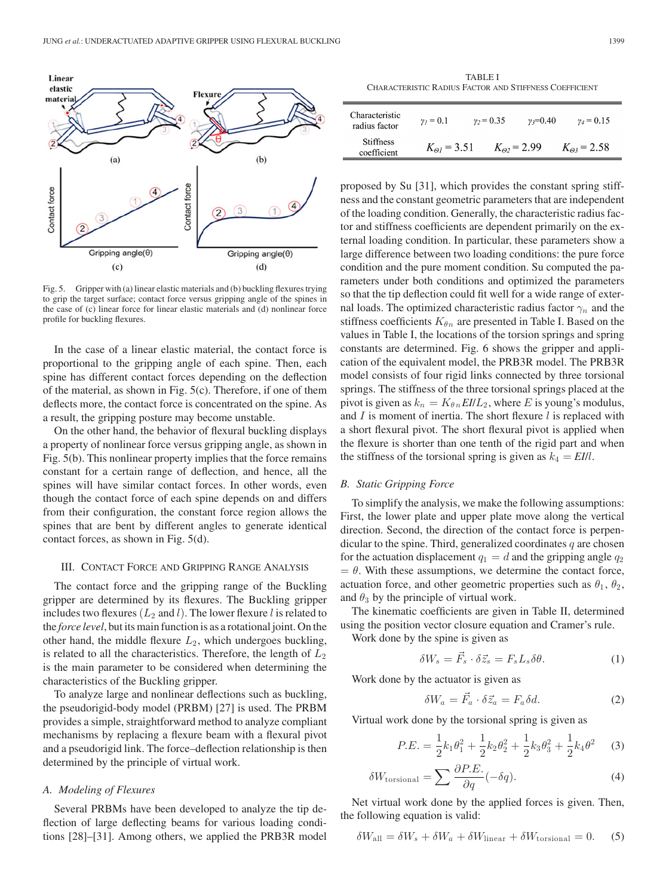

Fig. 5. Gripper with (a) linear elastic materials and (b) buckling flexures trying to grip the target surface; contact force versus gripping angle of the spines in the case of (c) linear force for linear elastic materials and (d) nonlinear force profile for buckling flexures.

In the case of a linear elastic material, the contact force is proportional to the gripping angle of each spine. Then, each spine has different contact forces depending on the deflection of the material, as shown in Fig. 5(c). Therefore, if one of them deflects more, the contact force is concentrated on the spine. As a result, the gripping posture may become unstable.

On the other hand, the behavior of flexural buckling displays a property of nonlinear force versus gripping angle, as shown in Fig. 5(b). This nonlinear property implies that the force remains constant for a certain range of deflection, and hence, all the spines will have similar contact forces. In other words, even though the contact force of each spine depends on and differs from their configuration, the constant force region allows the spines that are bent by different angles to generate identical contact forces, as shown in Fig. 5(d).

#### III. CONTACT FORCE AND GRIPPING RANGE ANALYSIS

The contact force and the gripping range of the Buckling gripper are determined by its flexures. The Buckling gripper includes two flexures  $(L_2 \text{ and } l)$ . The lower flexure l is related to the *force level*, but its main function is as a rotational joint. On the other hand, the middle flexure  $L_2$ , which undergoes buckling, is related to all the characteristics. Therefore, the length of  $L_2$ is the main parameter to be considered when determining the characteristics of the Buckling gripper.

To analyze large and nonlinear deflections such as buckling, the pseudorigid-body model (PRBM) [27] is used. The PRBM provides a simple, straightforward method to analyze compliant mechanisms by replacing a flexure beam with a flexural pivot and a pseudorigid link. The force–deflection relationship is then determined by the principle of virtual work.

#### *A. Modeling of Flexures*

Several PRBMs have been developed to analyze the tip deflection of large deflecting beams for various loading conditions [28]–[31]. Among others, we applied the PRB3R model

TABLE I CHARACTERISTIC RADIUS FACTOR AND STIFFNESS COEFFICIENT

| Characteristic<br>radius factor | $v_1 = 0.1$           | $v_2 = 0.35$ | $v_3 = 0.40$           | $\gamma_4 = 0.15$  |
|---------------------------------|-----------------------|--------------|------------------------|--------------------|
| <b>Stiffness</b><br>coefficient | $K_{\theta l} = 3.51$ |              | $K_{\varphi 2} = 2.99$ | $K_{\odot} = 2.58$ |

proposed by Su [31], which provides the constant spring stiffness and the constant geometric parameters that are independent of the loading condition. Generally, the characteristic radius factor and stiffness coefficients are dependent primarily on the external loading condition. In particular, these parameters show a large difference between two loading conditions: the pure force condition and the pure moment condition. Su computed the parameters under both conditions and optimized the parameters so that the tip deflection could fit well for a wide range of external loads. The optimized characteristic radius factor  $\gamma_n$  and the stiffness coefficients  $K_{\theta n}$  are presented in Table I. Based on the values in Table I, the locations of the torsion springs and spring constants are determined. Fig. 6 shows the gripper and application of the equivalent model, the PRB3R model. The PRB3R model consists of four rigid links connected by three torsional springs. The stiffness of the three torsional springs placed at the pivot is given as  $k_n = K_{\theta n} E I / L_2$ , where E is young's modulus, and  $I$  is moment of inertia. The short flexure  $l$  is replaced with a short flexural pivot. The short flexural pivot is applied when the flexure is shorter than one tenth of the rigid part and when the stiffness of the torsional spring is given as  $k_4 = EIIl$ .

## *B. Static Gripping Force*

To simplify the analysis, we make the following assumptions: First, the lower plate and upper plate move along the vertical direction. Second, the direction of the contact force is perpendicular to the spine. Third, generalized coordinates  $q$  are chosen for the actuation displacement  $q_1 = d$  and the gripping angle  $q_2$  $= \theta$ . With these assumptions, we determine the contact force, actuation force, and other geometric properties such as  $\theta_1$ ,  $\theta_2$ , and  $\theta_3$  by the principle of virtual work.

The kinematic coefficients are given in Table II, determined using the position vector closure equation and Cramer's rule.

Work done by the spine is given as

$$
\delta W_s = \vec{F}_s \cdot \delta \vec{z}_s = F_s L_s \delta \theta. \tag{1}
$$

Work done by the actuator is given as

$$
\delta W_a = \vec{F}_a \cdot \delta \vec{z}_a = F_a \delta d. \tag{2}
$$

Virtual work done by the torsional spring is given as

$$
P.E. = \frac{1}{2}k_1\theta_1^2 + \frac{1}{2}k_2\theta_2^2 + \frac{1}{2}k_3\theta_3^2 + \frac{1}{2}k_4\theta^2 \tag{3}
$$

$$
\delta W_{\text{torsional}} = \sum \frac{\partial P.E.}{\partial q} (-\delta q). \tag{4}
$$

Net virtual work done by the applied forces is given. Then, the following equation is valid:

$$
\delta W_{\text{all}} = \delta W_s + \delta W_a + \delta W_{\text{linear}} + \delta W_{\text{torsional}} = 0. \tag{5}
$$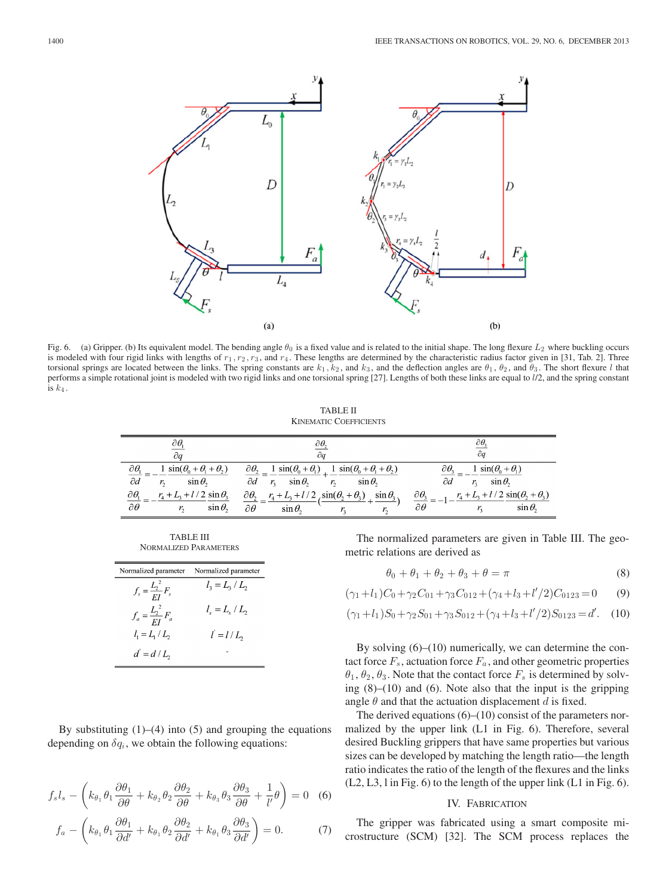

Fig. 6. (a) Gripper. (b) Its equivalent model. The bending angle  $\theta_0$  is a fixed value and is related to the initial shape. The long flexure  $L_2$  where buckling occurs is modeled with four rigid links with lengths of  $r_1, r_2, r_3$ , and  $r_4$ . These lengths are determined by the characteristic radius factor given in [31, Tab. 2]. Three torsional springs are located between the links. The spring constants are  $k_1$ ,  $k_2$ , and  $k_3$ , and the deflection angles are  $\theta_1$ ,  $\theta_2$ , and  $\theta_3$ . The short flexure l that performs a simple rotational joint is modeled with two rigid links and one torsional spring [27]. Lengths of both these links are equal to  $l/2$ , and the spring constant is  $k_4$ .

TABLE II KINEMATIC COEFFICIENTS

| $\partial \theta_{\rm i}$                                              | $\partial \theta _{_{2}}$                                                                       | $\partial \theta_{\rm i}$                                        |  |  |
|------------------------------------------------------------------------|-------------------------------------------------------------------------------------------------|------------------------------------------------------------------|--|--|
| дa                                                                     | дą                                                                                              | дą                                                               |  |  |
| $1 \sin(\theta_0 + \theta_1 + \theta_2)$<br>∂θ,                        | $\partial \theta_2$<br>$1 \sin(\theta_0 + \theta_1)$<br>1 $sin(\theta_0 + \theta_1 + \theta_2)$ | $1 \sin(\theta_0 + \theta_1)$<br>дθ,                             |  |  |
| дd<br>$\sin \theta$ ,<br>r,                                            | дd<br>$\sin \theta_2$<br>$\sin \theta_2$<br>$r_{\rm s}$<br>r,                                   | дd<br>$\sin \theta_2$<br>r.                                      |  |  |
| $\partial \theta_{\text{\tiny{l}}}$<br>$r_4 + L_3 + l/2 \sin \theta_3$ | $\partial \theta _{_{2}}$<br>$r_4 + L_3 + l/2 \sin(\theta_2 + \theta_3)$<br>$\sin \theta$       | $r_4 + L_3 + l/2 \sin(\theta_2 + \theta_3)$<br>$\partial \theta$ |  |  |
| $\partial \theta$<br>$\sin \theta_2$<br>$r_{\gamma}$                   | $\partial \theta$<br>$\sin \theta$                                                              | $\partial \theta$<br>$\sin \theta_2$                             |  |  |

TABLE III NORMALIZED PARAMETERS

| Normalized parameter         | Normalized parameter                |  |
|------------------------------|-------------------------------------|--|
| $f_s = \frac{L_2^2}{EI} F_s$ | $l_1 = L_1 / L_2$                   |  |
| $f_a = \frac{L_2^2}{EI} F_a$ | $l_{\rm s} = L_{\rm s} / L_{\rm b}$ |  |
| $l_1 = L_1 / L_2$            | $l = l / L$                         |  |
| $d' = d/L$                   |                                     |  |

By substituting  $(1)$ – $(4)$  into  $(5)$  and grouping the equations depending on  $\delta q_i$ , we obtain the following equations:

$$
f_s l_s - \left(k_{\theta_1} \theta_1 \frac{\partial \theta_1}{\partial \theta} + k_{\theta_2} \theta_2 \frac{\partial \theta_2}{\partial \theta} + k_{\theta_3} \theta_3 \frac{\partial \theta_3}{\partial \theta} + \frac{1}{l'} \theta\right) = 0
$$
 (6)  

$$
f_a - \left(k_{\theta_1} \theta_1 \frac{\partial \theta_1}{\partial d'} + k_{\theta_1} \theta_2 \frac{\partial \theta_2}{\partial d'} + k_{\theta_1} \theta_3 \frac{\partial \theta_3}{\partial d'}\right) = 0.
$$
 (7)

The normalized parameters are given in Table III. The geometric relations are derived as

$$
\theta_0 + \theta_1 + \theta_2 + \theta_3 + \theta = \pi \tag{8}
$$

$$
(\gamma_1 + l_1)C_0 + \gamma_2 C_{01} + \gamma_3 C_{012} + (\gamma_4 + l_3 + l'/2)C_{0123} = 0 \tag{9}
$$

$$
(\gamma_1 + l_1)S_0 + \gamma_2 S_{01} + \gamma_3 S_{012} + (\gamma_4 + l_3 + l'/2)S_{0123} = d'. \quad (10)
$$

By solving  $(6)$ – $(10)$  numerically, we can determine the contact force  $F_s$ , actuation force  $F_a$ , and other geometric properties  $\theta_1$ ,  $\theta_2$ ,  $\theta_3$ . Note that the contact force  $F_s$  is determined by solving  $(8)$ – $(10)$  and  $(6)$ . Note also that the input is the gripping angle  $\theta$  and that the actuation displacement d is fixed.

The derived equations  $(6)$ – $(10)$  consist of the parameters normalized by the upper link (L1 in Fig. 6). Therefore, several desired Buckling grippers that have same properties but various sizes can be developed by matching the length ratio—the length ratio indicates the ratio of the length of the flexures and the links (L2, L3, l in Fig. 6) to the length of the upper link (L1 in Fig. 6).

## IV. FABRICATION

The gripper was fabricated using a smart composite microstructure (SCM) [32]. The SCM process replaces the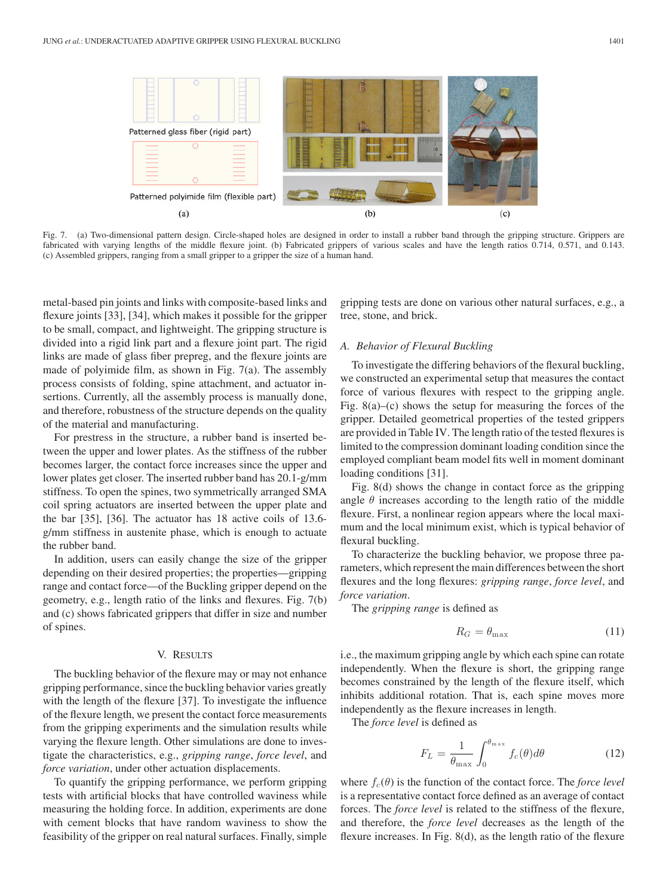

Fig. 7. (a) Two-dimensional pattern design. Circle-shaped holes are designed in order to install a rubber band through the gripping structure. Grippers are fabricated with varying lengths of the middle flexure joint. (b) Fabricated grippers of various scales and have the length ratios 0.714, 0.571, and 0.143. (c) Assembled grippers, ranging from a small gripper to a gripper the size of a human hand.

metal-based pin joints and links with composite-based links and flexure joints [33], [34], which makes it possible for the gripper to be small, compact, and lightweight. The gripping structure is divided into a rigid link part and a flexure joint part. The rigid links are made of glass fiber prepreg, and the flexure joints are made of polyimide film, as shown in Fig. 7(a). The assembly process consists of folding, spine attachment, and actuator insertions. Currently, all the assembly process is manually done, and therefore, robustness of the structure depends on the quality of the material and manufacturing.

For prestress in the structure, a rubber band is inserted between the upper and lower plates. As the stiffness of the rubber becomes larger, the contact force increases since the upper and lower plates get closer. The inserted rubber band has 20.1-g/mm stiffness. To open the spines, two symmetrically arranged SMA coil spring actuators are inserted between the upper plate and the bar [35], [36]. The actuator has 18 active coils of 13.6 g/mm stiffness in austenite phase, which is enough to actuate the rubber band.

In addition, users can easily change the size of the gripper depending on their desired properties; the properties—gripping range and contact force—of the Buckling gripper depend on the geometry, e.g., length ratio of the links and flexures. Fig. 7(b) and (c) shows fabricated grippers that differ in size and number of spines.

#### V. RESULTS

The buckling behavior of the flexure may or may not enhance gripping performance, since the buckling behavior varies greatly with the length of the flexure [37]. To investigate the influence of the flexure length, we present the contact force measurements from the gripping experiments and the simulation results while varying the flexure length. Other simulations are done to investigate the characteristics, e.g., *gripping range*, *force level*, and *force variation*, under other actuation displacements.

To quantify the gripping performance, we perform gripping tests with artificial blocks that have controlled waviness while measuring the holding force. In addition, experiments are done with cement blocks that have random waviness to show the feasibility of the gripper on real natural surfaces. Finally, simple

gripping tests are done on various other natural surfaces, e.g., a tree, stone, and brick.

#### *A. Behavior of Flexural Buckling*

To investigate the differing behaviors of the flexural buckling, we constructed an experimental setup that measures the contact force of various flexures with respect to the gripping angle. Fig.  $8(a)$ –(c) shows the setup for measuring the forces of the gripper. Detailed geometrical properties of the tested grippers are provided in Table IV. The length ratio of the tested flexures is limited to the compression dominant loading condition since the employed compliant beam model fits well in moment dominant loading conditions [31].

Fig. 8(d) shows the change in contact force as the gripping angle  $\theta$  increases according to the length ratio of the middle flexure. First, a nonlinear region appears where the local maximum and the local minimum exist, which is typical behavior of flexural buckling.

To characterize the buckling behavior, we propose three parameters, which represent the main differences between the short flexures and the long flexures: *gripping range*, *force level*, and *force variation*.

The *gripping range* is defined as

$$
R_G = \theta_{\text{max}} \tag{11}
$$

i.e., the maximum gripping angle by which each spine can rotate independently. When the flexure is short, the gripping range becomes constrained by the length of the flexure itself, which inhibits additional rotation. That is, each spine moves more independently as the flexure increases in length.

The *force level* is defined as

$$
F_L = \frac{1}{\theta_{\text{max}}} \int_0^{\theta_{\text{max}}} f_c(\theta) d\theta \tag{12}
$$

where  $f_c(\theta)$  is the function of the contact force. The *force level* is a representative contact force defined as an average of contact forces. The *force level* is related to the stiffness of the flexure, and therefore, the *force level* decreases as the length of the flexure increases. In Fig. 8(d), as the length ratio of the flexure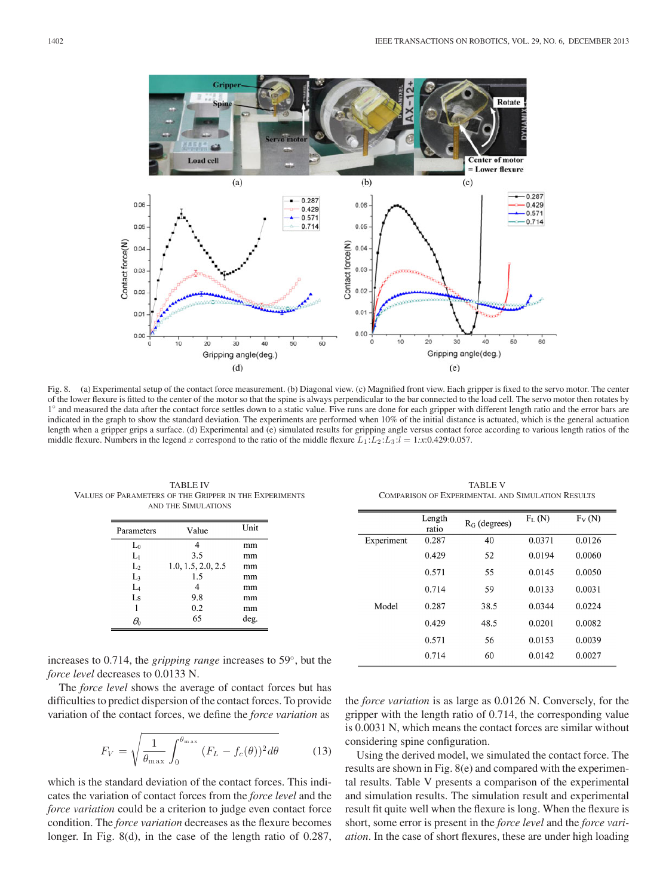

Fig. 8. (a) Experimental setup of the contact force measurement. (b) Diagonal view. (c) Magnified front view. Each gripper is fixed to the servo motor. The center of the lower flexure is fitted to the center of the motor so that the spine is always perpendicular to the bar connected to the load cell. The servo motor then rotates by 1<sup>°</sup> and measured the data after the contact force settles down to a static value. Five runs are done for each gripper with different length ratio and the error bars are indicated in the graph to show the standard deviation. The experiments are performed when 10% of the initial distance is actuated, which is the general actuation length when a gripper grips a surface. (d) Experimental and (e) simulated results for gripping angle versus contact force according to various length ratios of the middle flexure. Numbers in the legend x correspond to the ratio of the middle flexure  $L_1 : L_2 : L_3 : l = 1 : x : 0.429 : 0.057$ .

TABLE IV VALUES OF PARAMETERS OF THE GRIPPER IN THE EXPERIMENTS AND THE SIMULATIONS

| Parameters                         | Value              | Unit |
|------------------------------------|--------------------|------|
| $\mathop{\hbox{\rm L}}\nolimits_0$ | 4                  | mm   |
| $L_1$                              | 3.5                | mm   |
| L2                                 | 1.0, 1.5, 2.0, 2.5 | mm   |
| $L_3$                              | 1.5                | mm   |
| $\mathop{\rm L{}}\nolimits_4$      | 4                  | mm   |
| Ls                                 | 9.8                | mm   |
|                                    | 0.2                | mm   |
|                                    | 65                 | deg. |

TABLE V COMPARISON OF EXPERIMENTAL AND SIMULATION RESULTS

|            | Length<br>ratio | $R_G$ (degrees) | $F_L(N)$ | $F_V(N)$ |
|------------|-----------------|-----------------|----------|----------|
| Experiment | 0.287           | 40              | 0.0371   | 0.0126   |
|            | 0.429           | 52              | 0.0194   | 0.0060   |
|            | 0.571           | 55              | 0.0145   | 0.0050   |
|            | 0.714           | 59              | 0.0133   | 0.0031   |
| Model      | 0.287           | 38.5            | 0.0344   | 0.0224   |
|            | 0.429           | 48.5            | 0.0201   | 0.0082   |
|            | 0.571           | 56              | 0.0153   | 0.0039   |
|            | 0.714           | 60              | 0.0142   | 0.0027   |

increases to 0.714, the *gripping range* increases to 59◦, but the *force level* decreases to 0.0133 N.

The *force level* shows the average of contact forces but has difficulties to predict dispersion of the contact forces. To provide variation of the contact forces, we define the *force variation* as

$$
F_V = \sqrt{\frac{1}{\theta_{\text{max}}}} \int_0^{\theta_{\text{max}}} (F_L - f_c(\theta))^2 d\theta
$$
 (13)

which is the standard deviation of the contact forces. This indicates the variation of contact forces from the *force level* and the *force variation* could be a criterion to judge even contact force condition. The *force variation* decreases as the flexure becomes longer. In Fig. 8(d), in the case of the length ratio of 0.287, the *force variation* is as large as 0.0126 N. Conversely, for the gripper with the length ratio of 0.714, the corresponding value is 0.0031 N, which means the contact forces are similar without considering spine configuration.

Using the derived model, we simulated the contact force. The results are shown in Fig. 8(e) and compared with the experimental results. Table V presents a comparison of the experimental and simulation results. The simulation result and experimental result fit quite well when the flexure is long. When the flexure is short, some error is present in the *force level* and the *force variation*. In the case of short flexures, these are under high loading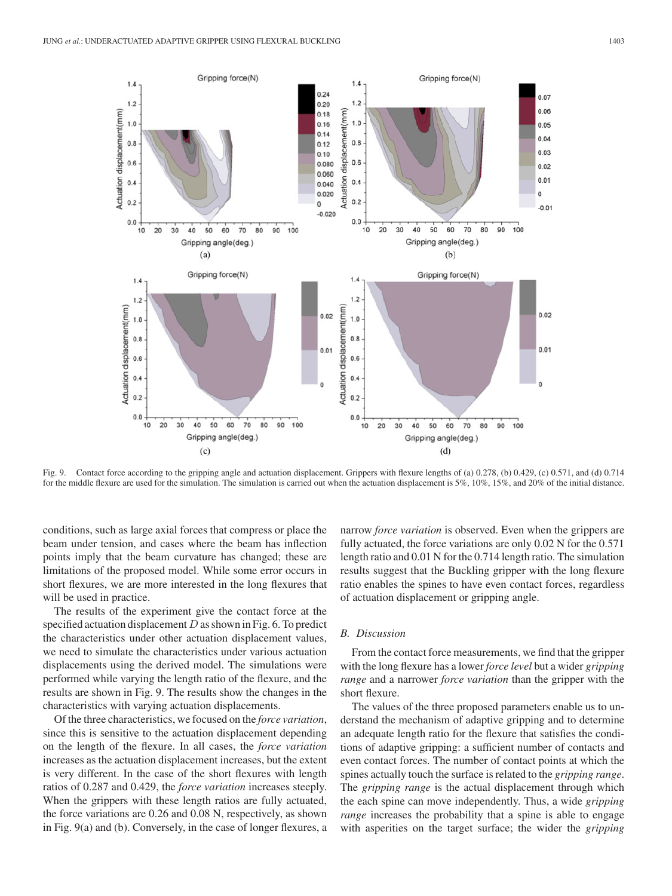

Fig. 9. Contact force according to the gripping angle and actuation displacement. Grippers with flexure lengths of (a) 0.278, (b) 0.429, (c) 0.571, and (d) 0.714 for the middle flexure are used for the simulation. The simulation is carried out when the actuation displacement is 5%, 10%, 15%, and 20% of the initial distance.

conditions, such as large axial forces that compress or place the beam under tension, and cases where the beam has inflection points imply that the beam curvature has changed; these are limitations of the proposed model. While some error occurs in short flexures, we are more interested in the long flexures that will be used in practice.

The results of the experiment give the contact force at the specified actuation displacement  $D$  as shown in Fig. 6. To predict the characteristics under other actuation displacement values, we need to simulate the characteristics under various actuation displacements using the derived model. The simulations were performed while varying the length ratio of the flexure, and the results are shown in Fig. 9. The results show the changes in the characteristics with varying actuation displacements.

Of the three characteristics, we focused on the *force variation*, since this is sensitive to the actuation displacement depending on the length of the flexure. In all cases, the *force variation* increases as the actuation displacement increases, but the extent is very different. In the case of the short flexures with length ratios of 0.287 and 0.429, the *force variation* increases steeply. When the grippers with these length ratios are fully actuated, the force variations are 0.26 and 0.08 N, respectively, as shown in Fig. 9(a) and (b). Conversely, in the case of longer flexures, a narrow *force variation* is observed. Even when the grippers are fully actuated, the force variations are only 0.02 N for the 0.571 length ratio and 0.01 N for the 0.714 length ratio. The simulation results suggest that the Buckling gripper with the long flexure ratio enables the spines to have even contact forces, regardless of actuation displacement or gripping angle.

### *B. Discussion*

From the contact force measurements, we find that the gripper with the long flexure has a lower *force level* but a wider *gripping range* and a narrower *force variation* than the gripper with the short flexure.

The values of the three proposed parameters enable us to understand the mechanism of adaptive gripping and to determine an adequate length ratio for the flexure that satisfies the conditions of adaptive gripping: a sufficient number of contacts and even contact forces. The number of contact points at which the spines actually touch the surface is related to the *gripping range*. The *gripping range* is the actual displacement through which the each spine can move independently. Thus, a wide *gripping range* increases the probability that a spine is able to engage with asperities on the target surface; the wider the *gripping*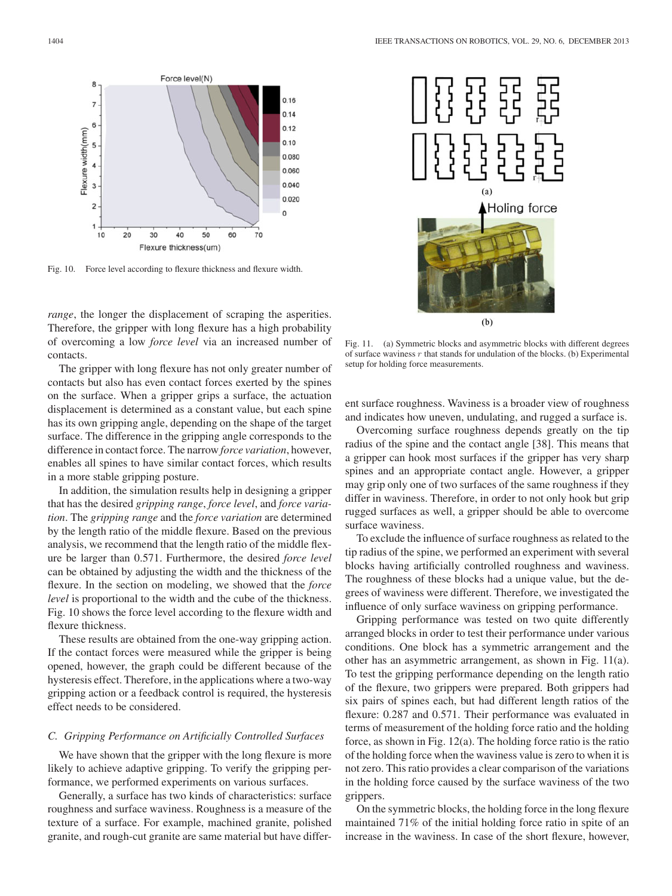1404 IEEE TRANSACTIONS ON ROBOTICS, VOL. 29, NO. 6, DECEMBER 2013



Fig. 10. Force level according to flexure thickness and flexure width.

*range*, the longer the displacement of scraping the asperities. Therefore, the gripper with long flexure has a high probability of overcoming a low *force level* via an increased number of contacts.

The gripper with long flexure has not only greater number of contacts but also has even contact forces exerted by the spines on the surface. When a gripper grips a surface, the actuation displacement is determined as a constant value, but each spine has its own gripping angle, depending on the shape of the target surface. The difference in the gripping angle corresponds to the difference in contact force. The narrow *force variation*, however, enables all spines to have similar contact forces, which results in a more stable gripping posture.

In addition, the simulation results help in designing a gripper that has the desired *gripping range*, *force level*, and *force variation*. The *gripping range* and the *force variation* are determined by the length ratio of the middle flexure. Based on the previous analysis, we recommend that the length ratio of the middle flexure be larger than 0.571. Furthermore, the desired *force level* can be obtained by adjusting the width and the thickness of the flexure. In the section on modeling, we showed that the *force level* is proportional to the width and the cube of the thickness. Fig. 10 shows the force level according to the flexure width and flexure thickness.

These results are obtained from the one-way gripping action. If the contact forces were measured while the gripper is being opened, however, the graph could be different because of the hysteresis effect. Therefore, in the applications where a two-way gripping action or a feedback control is required, the hysteresis effect needs to be considered.

#### *C. Gripping Performance on Artificially Controlled Surfaces*

We have shown that the gripper with the long flexure is more likely to achieve adaptive gripping. To verify the gripping performance, we performed experiments on various surfaces.

Generally, a surface has two kinds of characteristics: surface roughness and surface waviness. Roughness is a measure of the texture of a surface. For example, machined granite, polished granite, and rough-cut granite are same material but have differ-



Fig. 11. (a) Symmetric blocks and asymmetric blocks with different degrees of surface waviness  $r$  that stands for undulation of the blocks. (b) Experimental setup for holding force measurements.

ent surface roughness. Waviness is a broader view of roughness and indicates how uneven, undulating, and rugged a surface is.

Overcoming surface roughness depends greatly on the tip radius of the spine and the contact angle [38]. This means that a gripper can hook most surfaces if the gripper has very sharp spines and an appropriate contact angle. However, a gripper may grip only one of two surfaces of the same roughness if they differ in waviness. Therefore, in order to not only hook but grip rugged surfaces as well, a gripper should be able to overcome surface waviness.

To exclude the influence of surface roughness as related to the tip radius of the spine, we performed an experiment with several blocks having artificially controlled roughness and waviness. The roughness of these blocks had a unique value, but the degrees of waviness were different. Therefore, we investigated the influence of only surface waviness on gripping performance.

Gripping performance was tested on two quite differently arranged blocks in order to test their performance under various conditions. One block has a symmetric arrangement and the other has an asymmetric arrangement, as shown in Fig. 11(a). To test the gripping performance depending on the length ratio of the flexure, two grippers were prepared. Both grippers had six pairs of spines each, but had different length ratios of the flexure: 0.287 and 0.571. Their performance was evaluated in terms of measurement of the holding force ratio and the holding force, as shown in Fig. 12(a). The holding force ratio is the ratio of the holding force when the waviness value is zero to when it is not zero. This ratio provides a clear comparison of the variations in the holding force caused by the surface waviness of the two grippers.

On the symmetric blocks, the holding force in the long flexure maintained 71% of the initial holding force ratio in spite of an increase in the waviness. In case of the short flexure, however,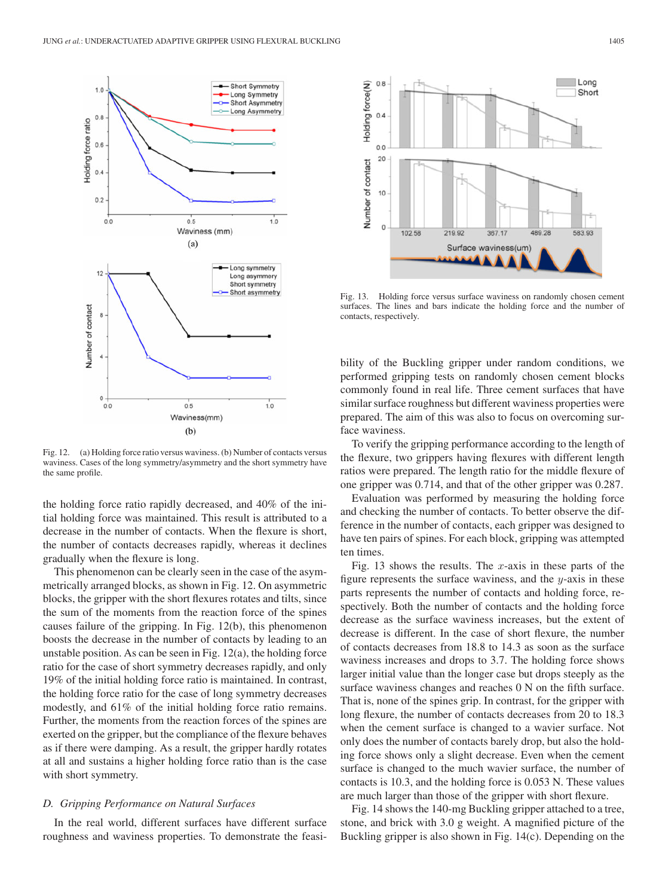

Fig. 12. (a) Holding force ratio versus waviness. (b) Number of contacts versus waviness. Cases of the long symmetry/asymmetry and the short symmetry have the same profile.

the holding force ratio rapidly decreased, and 40% of the initial holding force was maintained. This result is attributed to a decrease in the number of contacts. When the flexure is short, the number of contacts decreases rapidly, whereas it declines gradually when the flexure is long.

This phenomenon can be clearly seen in the case of the asymmetrically arranged blocks, as shown in Fig. 12. On asymmetric blocks, the gripper with the short flexures rotates and tilts, since the sum of the moments from the reaction force of the spines causes failure of the gripping. In Fig. 12(b), this phenomenon boosts the decrease in the number of contacts by leading to an unstable position. As can be seen in Fig.  $12(a)$ , the holding force ratio for the case of short symmetry decreases rapidly, and only 19% of the initial holding force ratio is maintained. In contrast, the holding force ratio for the case of long symmetry decreases modestly, and 61% of the initial holding force ratio remains. Further, the moments from the reaction forces of the spines are exerted on the gripper, but the compliance of the flexure behaves as if there were damping. As a result, the gripper hardly rotates at all and sustains a higher holding force ratio than is the case with short symmetry.

## *D. Gripping Performance on Natural Surfaces*

In the real world, different surfaces have different surface roughness and waviness properties. To demonstrate the feasi-



Fig. 13. Holding force versus surface waviness on randomly chosen cement surfaces. The lines and bars indicate the holding force and the number of contacts, respectively.

bility of the Buckling gripper under random conditions, we performed gripping tests on randomly chosen cement blocks commonly found in real life. Three cement surfaces that have similar surface roughness but different waviness properties were prepared. The aim of this was also to focus on overcoming surface waviness.

To verify the gripping performance according to the length of the flexure, two grippers having flexures with different length ratios were prepared. The length ratio for the middle flexure of one gripper was 0.714, and that of the other gripper was 0.287.

Evaluation was performed by measuring the holding force and checking the number of contacts. To better observe the difference in the number of contacts, each gripper was designed to have ten pairs of spines. For each block, gripping was attempted ten times.

Fig. 13 shows the results. The  $x$ -axis in these parts of the figure represents the surface waviness, and the  $y$ -axis in these parts represents the number of contacts and holding force, respectively. Both the number of contacts and the holding force decrease as the surface waviness increases, but the extent of decrease is different. In the case of short flexure, the number of contacts decreases from 18.8 to 14.3 as soon as the surface waviness increases and drops to 3.7. The holding force shows larger initial value than the longer case but drops steeply as the surface waviness changes and reaches  $0 \text{ N}$  on the fifth surface. That is, none of the spines grip. In contrast, for the gripper with long flexure, the number of contacts decreases from 20 to 18.3 when the cement surface is changed to a wavier surface. Not only does the number of contacts barely drop, but also the holding force shows only a slight decrease. Even when the cement surface is changed to the much wavier surface, the number of contacts is 10.3, and the holding force is 0.053 N. These values are much larger than those of the gripper with short flexure.

Fig. 14 shows the 140-mg Buckling gripper attached to a tree, stone, and brick with 3.0 g weight. A magnified picture of the Buckling gripper is also shown in Fig. 14(c). Depending on the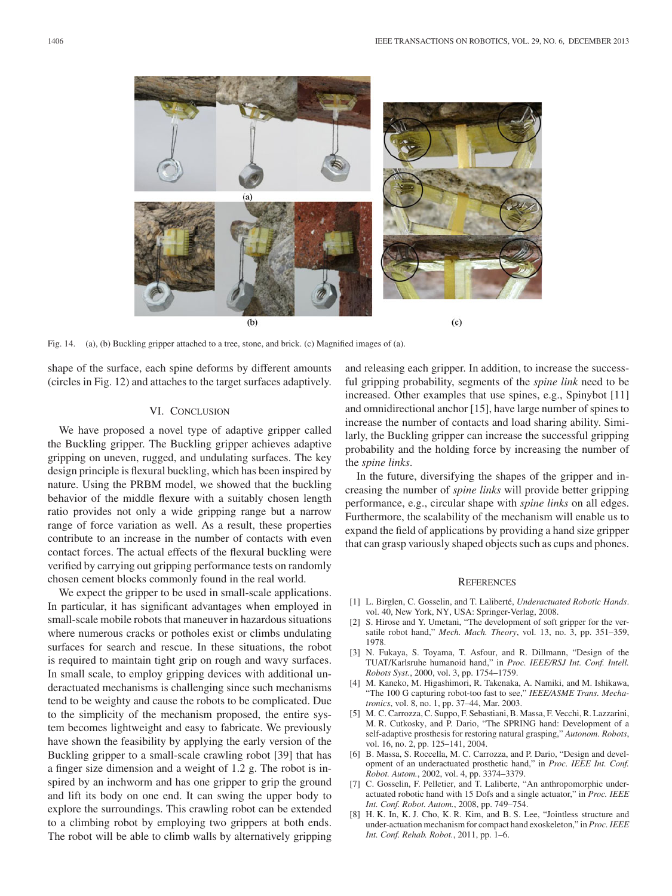

Fig. 14. (a), (b) Buckling gripper attached to a tree, stone, and brick. (c) Magnified images of (a).

shape of the surface, each spine deforms by different amounts (circles in Fig. 12) and attaches to the target surfaces adaptively.

## VI. CONCLUSION

We have proposed a novel type of adaptive gripper called the Buckling gripper. The Buckling gripper achieves adaptive gripping on uneven, rugged, and undulating surfaces. The key design principle is flexural buckling, which has been inspired by nature. Using the PRBM model, we showed that the buckling behavior of the middle flexure with a suitably chosen length ratio provides not only a wide gripping range but a narrow range of force variation as well. As a result, these properties contribute to an increase in the number of contacts with even contact forces. The actual effects of the flexural buckling were verified by carrying out gripping performance tests on randomly chosen cement blocks commonly found in the real world.

We expect the gripper to be used in small-scale applications. In particular, it has significant advantages when employed in small-scale mobile robots that maneuver in hazardous situations where numerous cracks or potholes exist or climbs undulating surfaces for search and rescue. In these situations, the robot is required to maintain tight grip on rough and wavy surfaces. In small scale, to employ gripping devices with additional underactuated mechanisms is challenging since such mechanisms tend to be weighty and cause the robots to be complicated. Due to the simplicity of the mechanism proposed, the entire system becomes lightweight and easy to fabricate. We previously have shown the feasibility by applying the early version of the Buckling gripper to a small-scale crawling robot [39] that has a finger size dimension and a weight of 1.2 g. The robot is inspired by an inchworm and has one gripper to grip the ground and lift its body on one end. It can swing the upper body to explore the surroundings. This crawling robot can be extended to a climbing robot by employing two grippers at both ends. The robot will be able to climb walls by alternatively gripping and releasing each gripper. In addition, to increase the successful gripping probability, segments of the *spine link* need to be increased. Other examples that use spines, e.g., Spinybot [11] and omnidirectional anchor [15], have large number of spines to increase the number of contacts and load sharing ability. Similarly, the Buckling gripper can increase the successful gripping probability and the holding force by increasing the number of the *spine links*.

In the future, diversifying the shapes of the gripper and increasing the number of *spine links* will provide better gripping performance, e.g., circular shape with *spine links* on all edges. Furthermore, the scalability of the mechanism will enable us to expand the field of applications by providing a hand size gripper that can grasp variously shaped objects such as cups and phones.

#### **REFERENCES**

- [1] L. Birglen, C. Gosselin, and T. Laliberté, *Underactuated Robotic Hands*. vol. 40, New York, NY, USA: Springer-Verlag, 2008.
- [2] S. Hirose and Y. Umetani, "The development of soft gripper for the versatile robot hand," *Mech. Mach. Theory*, vol. 13, no. 3, pp. 351–359, 1978.
- [3] N. Fukaya, S. Toyama, T. Asfour, and R. Dillmann, "Design of the TUAT/Karlsruhe humanoid hand," in *Proc. IEEE/RSJ Int. Conf. Intell. Robots Syst.*, 2000, vol. 3, pp. 1754–1759.
- [4] M. Kaneko, M. Higashimori, R. Takenaka, A. Namiki, and M. Ishikawa, "The 100 G capturing robot-too fast to see," *IEEE/ASME Trans. Mechatronics*, vol. 8, no. 1, pp. 37–44, Mar. 2003.
- [5] M. C. Carrozza, C. Suppo, F. Sebastiani, B. Massa, F. Vecchi, R. Lazzarini, M. R. Cutkosky, and P. Dario, "The SPRING hand: Development of a self-adaptive prosthesis for restoring natural grasping," *Autonom. Robots*, vol. 16, no. 2, pp. 125–141, 2004.
- [6] B. Massa, S. Roccella, M. C. Carrozza, and P. Dario, "Design and development of an underactuated prosthetic hand," in *Proc. IEEE Int. Conf. Robot. Autom.*, 2002, vol. 4, pp. 3374–3379.
- [7] C. Gosselin, F. Pelletier, and T. Laliberte, "An anthropomorphic underactuated robotic hand with 15 Dofs and a single actuator," in *Proc. IEEE Int. Conf. Robot. Autom.*, 2008, pp. 749–754.
- [8] H. K. In, K. J. Cho, K. R. Kim, and B. S. Lee, "Jointless structure and under-actuation mechanism for compact hand exoskeleton," in *Proc. IEEE Int. Conf. Rehab. Robot.*, 2011, pp. 1–6.